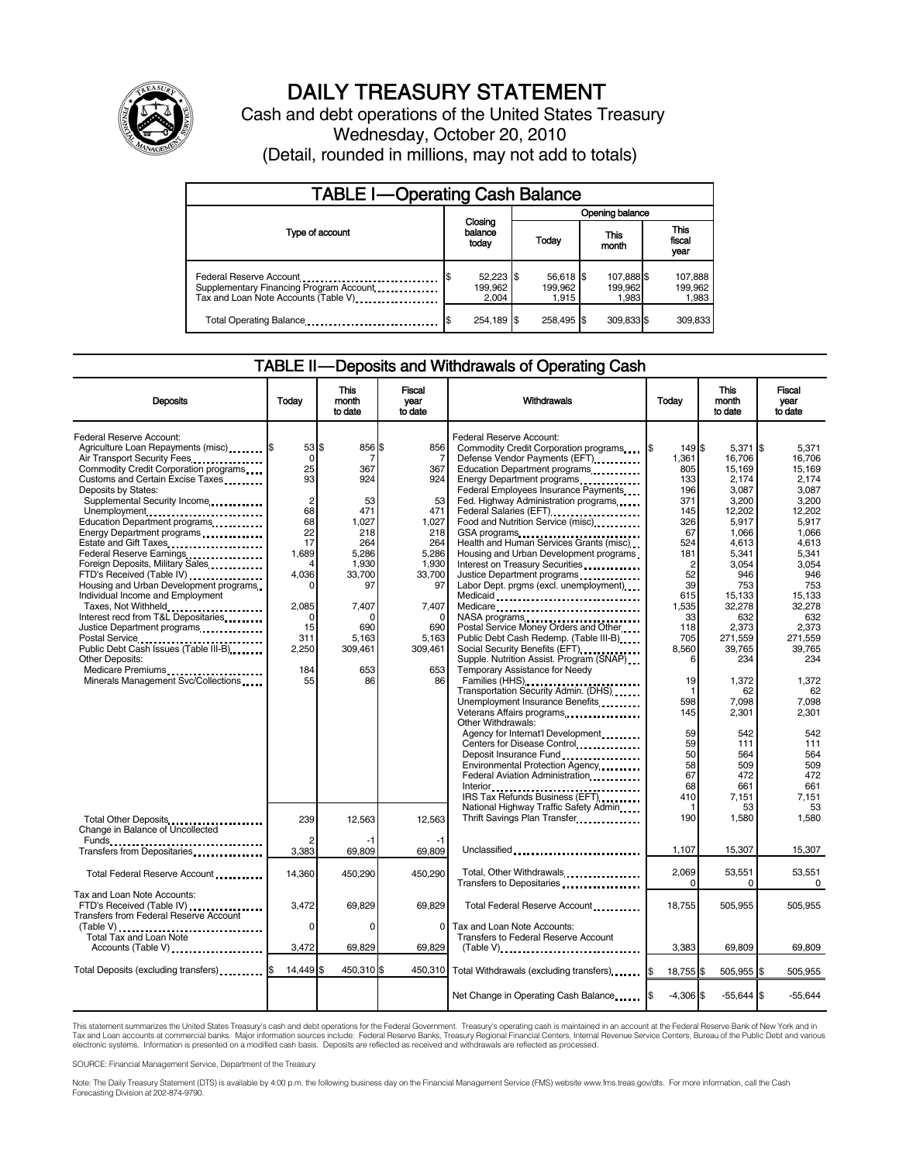

# DAILY TREASURY STATEMENT

Cash and debt operations of the United States Treasury Wednesday, October 20, 2010 (Detail, rounded in millions, may not add to totals)

| <b>TABLE I-Operating Cash Balance</b>                                                                       |                               |                               |                                |                               |  |  |  |
|-------------------------------------------------------------------------------------------------------------|-------------------------------|-------------------------------|--------------------------------|-------------------------------|--|--|--|
|                                                                                                             |                               | Opening balance               |                                |                               |  |  |  |
| Type of account                                                                                             | Closing<br>balance<br>today   | This<br>Today<br>month        |                                | <b>This</b><br>fiscal<br>year |  |  |  |
| Federal Reserve Account<br>Supplementary Financing Program Account<br>Tax and Loan Note Accounts (Table V). | 52,223 \$<br>199.962<br>2.004 | 56,618 \$<br>199.962<br>1.915 | 107,888 \$<br>199.962<br>1,983 | 107,888<br>199,962<br>1,983   |  |  |  |
| Total Operating Balance                                                                                     | 254,189 \$                    | 258.495 \$                    | 309,833 \$                     | 309,833                       |  |  |  |

### TABLE II — Deposits and Withdrawals of Operating Cash

| <b>Deposits</b>                                                                                                                                                                                                                                                                                                                                                           | Todav                                                                   | <b>This</b><br>month<br>to date                                        | <b>Fiscal</b><br>year<br>to date                                      | Withdrawals                                                                                                                                                                                                                                                                                                                                                                                                                                        | Today                                                                         | <b>This</b><br>month<br>to date                                                                    | Fiscal<br>vear<br>to date                                                                                 |
|---------------------------------------------------------------------------------------------------------------------------------------------------------------------------------------------------------------------------------------------------------------------------------------------------------------------------------------------------------------------------|-------------------------------------------------------------------------|------------------------------------------------------------------------|-----------------------------------------------------------------------|----------------------------------------------------------------------------------------------------------------------------------------------------------------------------------------------------------------------------------------------------------------------------------------------------------------------------------------------------------------------------------------------------------------------------------------------------|-------------------------------------------------------------------------------|----------------------------------------------------------------------------------------------------|-----------------------------------------------------------------------------------------------------------|
| Federal Reserve Account:<br>Agriculture Loan Repayments (misc) [\$<br>Air Transport Security Fees<br>Commodity Credit Corporation programs<br>Customs and Certain Excise Taxes<br>Deposits by States:<br>Supplemental Security Income<br>Unemployment<br>Education Department programs<br>Energy Department programs<br>Estate and Gift Taxes<br>Federal Reserve Earnings | 53S<br>0<br>25<br>93<br>$\overline{2}$<br>68<br>68<br>22<br>17<br>1,689 | 856 \$<br>7<br>367<br>924<br>53<br>471<br>1.027<br>218<br>264<br>5,286 | 856<br>7<br>367<br>924<br>53<br>471<br>1.027<br>218<br>264<br>5,286   | Federal Reserve Account:<br>Commodity Credit Corporation programs [\$<br>Defense Vendor Payments (EFT)<br>Education Department programs<br>Energy Department programs<br>Federal Employees Insurance Payments<br>Fed. Highway Administration programs<br>Federal Salaries (EFT)<br>1999 - Palaries (EFT)<br>Food and Nutrition Service (misc)<br>GSA programs<br>Health and Human Services Grants (misc)<br>Housing and Urban Development programs | 149 \$<br>1,361<br>805<br>133<br>196<br>371<br>145<br>326<br>67<br>524<br>181 | 5.371<br>16,706<br>15,169<br>2.174<br>3.087<br>3,200<br>12,202<br>5.917<br>1,066<br>4,613<br>5.341 | 1\$<br>5.371<br>16.706<br>15.169<br>2.174<br>3.087<br>3.200<br>12.202<br>5.917<br>1,066<br>4,613<br>5.341 |
| Foreign Deposits, Military Sales<br>FTD's Received (Table IV)<br>Housing and Urban Development programs<br>Individual Income and Employment<br>Taxes, Not Withheld<br>Interest recd from T&L Depositaries<br>Justice Department programs<br>Postal Service<br>Public Debt Cash Issues (Table III-B)                                                                       | 4<br>4,036<br>2,085<br>O<br>15<br>311<br>2,250                          | 1,930<br>33,700<br>97<br>7,407<br>690<br>5,163<br>309,461              | 1,930<br>33,700<br>97<br>7,407<br>$\Omega$<br>690<br>5,163<br>309,461 | Interest on Treasury Securities<br>Justice Department programs<br>Labor Dept. prgms (excl. unemployment)<br>Medicaid<br>Medicare<br>NASA programs<br>Postal Service Money Orders and Other<br>Public Debt Cash Redemp. (Table III-B)<br>Social Security Benefits (EFT)                                                                                                                                                                             | $\overline{2}$<br>52<br>39<br>615<br>1,535<br>33<br>118<br>705<br>8,560       | 3,054<br>946<br>753<br>15,133<br>32,278<br>632<br>2,373<br>271,559<br>39,765                       | 3,054<br>946<br>753<br>15,133<br>32.278<br>632<br>2.373<br>271,559<br>39.765                              |
| <b>Other Deposits:</b><br>Medicare Premiums<br>Minerals Management Svc/Collections                                                                                                                                                                                                                                                                                        | 184<br>55                                                               | 653<br>86                                                              | 653<br>86                                                             | Supple. Nutrition Assist. Program (SNAP)<br>Temporary Assistance for Needy<br>Families (HHS)<br>Transportation Security Admin. (DHS)<br>Unemployment Insurance Benefits<br>Other Withdrawals:<br>Agency for Internat'l Development<br>Centers for Disease Control<br>Deposit Insurance Fund                                                                                                                                                        | 6<br>19<br>1<br>598<br>145<br>59<br>59<br>50                                  | 234<br>1,372<br>62<br>7,098<br>2,301<br>542<br>111<br>564                                          | 234<br>1,372<br>62<br>7,098<br>2,301<br>542<br>111<br>564                                                 |
| Total Other Deposits<br>Change in Balance of Uncollected                                                                                                                                                                                                                                                                                                                  | 239                                                                     | 12,563                                                                 | 12,563                                                                | Environmental Protection Agency<br>Federal Aviation Administration<br>Interior<br>.<br>IRS Tax Refunds Business (EFT)<br>National Highway Traffic Safety Admin<br>Thrift Savings Plan Transfer                                                                                                                                                                                                                                                     | 58<br>67<br>68<br>410<br>1<br>190                                             | 509<br>472<br>661<br>7,151<br>53<br>1,580                                                          | 509<br>472<br>661<br>7.151<br>53<br>1,580                                                                 |
| Transfers from Depositaries                                                                                                                                                                                                                                                                                                                                               | 3,383                                                                   | -1<br>69,809                                                           | 69,809                                                                | Unclassified                                                                                                                                                                                                                                                                                                                                                                                                                                       | 1,107                                                                         | 15,307                                                                                             | 15,307                                                                                                    |
| Total Federal Reserve Account                                                                                                                                                                                                                                                                                                                                             | 14,360                                                                  | 450,290                                                                | 450,290                                                               | Total, Other Withdrawals<br>Transfers to Depositaries                                                                                                                                                                                                                                                                                                                                                                                              | 2,069<br>$\Omega$                                                             | 53,551<br>0                                                                                        | 53,551<br>0                                                                                               |
| Tax and Loan Note Accounts:<br>FTD's Received (Table IV)<br><b>Transfers from Federal Reserve Account</b><br>Total Tax and Loan Note                                                                                                                                                                                                                                      | 3,472<br>0                                                              | 69.829<br>$\Omega$                                                     | 69.829<br>0                                                           | Total Federal Reserve Account<br>Tax and Loan Note Accounts:<br>Transfers to Federal Reserve Account                                                                                                                                                                                                                                                                                                                                               | 18,755                                                                        | 505,955                                                                                            | 505,955                                                                                                   |
| Accounts (Table V)                                                                                                                                                                                                                                                                                                                                                        | 3,472                                                                   | 69.829                                                                 | 69.829                                                                | $(Table V)$ ,                                                                                                                                                                                                                                                                                                                                                                                                                                      | 3.383                                                                         | 69.809                                                                                             | 69.809                                                                                                    |
| Total Deposits (excluding transfers) [1001]                                                                                                                                                                                                                                                                                                                               | 14,449                                                                  | 450,310 \$<br>ß.                                                       | 450,310                                                               |                                                                                                                                                                                                                                                                                                                                                                                                                                                    | 18,755 \$                                                                     | 505,955 \$                                                                                         | 505,955                                                                                                   |
|                                                                                                                                                                                                                                                                                                                                                                           |                                                                         |                                                                        |                                                                       | Net Change in Operating Cash Balance                                                                                                                                                                                                                                                                                                                                                                                                               | $-4,306$ \$                                                                   | $-55,644$ \$                                                                                       | $-55,644$                                                                                                 |

This statement summarizes the United States Treasury's cash and debt operations for the Federal Government. Treasury's operating cash is maintained in an account at the Federal Reserve Bank of New York and in<br>Tax and Loan electronic systems. Information is presented on a modified cash basis. Deposits are reflected as received and withdrawals are reflected as processed.

SOURCE: Financial Management Service, Department of the Treasury

Note: The Daily Treasury Statement (DTS) is available by 4:00 p.m. the following business day on the Financial Management Service (FMS) website www.fms.treas.gov/dts. For more information, call the Cash Forecasting Division at 202-874-9790.